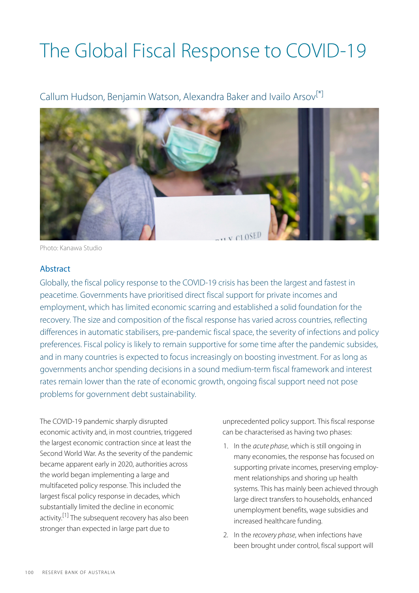# The Global Fiscal Response to COVID-19

<span id="page-0-0"></span>Callum Hudson, Benjamin Watson, Alexandra Baker and Ivailo Arsov<sup>[\[\\*\]](#page-8-0)</sup>



Photo: Kanawa Studio

#### **Abstract**

Globally, the fiscal policy response to the COVID-19 crisis has been the largest and fastest in peacetime. Governments have prioritised direct fiscal support for private incomes and employment, which has limited economic scarring and established a solid foundation for the recovery. The size and composition of the fiscal response has varied across countries, reflecting differences in automatic stabilisers, pre-pandemic fiscal space, the severity of infections and policy preferences. Fiscal policy is likely to remain supportive for some time after the pandemic subsides, and in many countries is expected to focus increasingly on boosting investment. For as long as governments anchor spending decisions in a sound medium-term fiscal framework and interest rates remain lower than the rate of economic growth, ongoing fiscal support need not pose problems for government debt sustainability.

<span id="page-0-1"></span>The COVID-19 pandemic sharply disrupted economic activity and, in most countries, triggered the largest economic contraction since at least the Second World War. As the severity of the pandemic became apparent early in 2020, authorities across the world began implementing a large and multifaceted policy response. This included the largest fiscal policy response in decades, which substantially limited the decline in economic activity.<sup>[\[1\]](#page-8-1)</sup> The subsequent recovery has also been stronger than expected in large part due to

unprecedented policy support. This fiscal response can be characterised as having two phases:

- 1. In the *acute phase*, which is still ongoing in many economies, the response has focused on supporting private incomes, preserving employment relationships and shoring up health systems. This has mainly been achieved through large direct transfers to households, enhanced unemployment benefits, wage subsidies and increased healthcare funding.
- 2. In the *recovery phase*, when infections have been brought under control, fiscal support will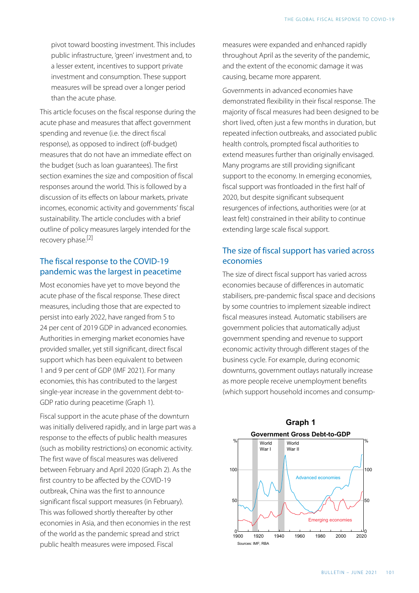pivot toward boosting investment. This includes public infrastructure, 'green' investment and, to a lesser extent, incentives to support private investment and consumption. These support measures will be spread over a longer period than the acute phase.

This article focuses on the fiscal response during the acute phase and measures that affect government spending and revenue (i.e. the direct fiscal response), as opposed to indirect (off-budget) measures that do not have an immediate effect on the budget (such as loan guarantees). The first section examines the size and composition of fiscal responses around the world. This is followed by a discussion of its effects on labour markets, private incomes, economic activity and governments' fiscal sustainability. The article concludes with a brief outline of policy measures largely intended for the recovery phase.<sup>[\[2\]](#page-8-2)</sup>

# <span id="page-1-0"></span>The fiscal response to the COVID-19 pandemic was the largest in peacetime

Most economies have yet to move beyond the acute phase of the fiscal response. These direct measures, including those that are expected to persist into early 2022, have ranged from 5 to 24 per cent of 2019 GDP in advanced economies. Authorities in emerging market economies have provided smaller, yet still significant, direct fiscal support which has been equivalent to between 1 and 9 per cent of GDP (IMF 2021). For many economies, this has contributed to the largest single-year increase in the government debt-to-GDP ratio during peacetime (Graph 1).

Fiscal support in the acute phase of the downturn was initially delivered rapidly, and in large part was a response to the effects of public health measures (such as mobility restrictions) on economic activity. The first wave of fiscal measures was delivered between February and April 2020 (Graph 2). As the first country to be affected by the COVID-19 outbreak, China was the first to announce significant fiscal support measures (in February). This was followed shortly thereafter by other economies in Asia, and then economies in the rest of the world as the pandemic spread and strict public health measures were imposed. Fiscal

measures were expanded and enhanced rapidly throughout April as the severity of the pandemic, and the extent of the economic damage it was causing, became more apparent.

Governments in advanced economies have demonstrated flexibility in their fiscal response. The majority of fiscal measures had been designed to be short lived, often just a few months in duration, but repeated infection outbreaks, and associated public health controls, prompted fiscal authorities to extend measures further than originally envisaged. Many programs are still providing significant support to the economy. In emerging economies, fiscal support was frontloaded in the first half of 2020, but despite significant subsequent resurgences of infections, authorities were (or at least felt) constrained in their ability to continue extending large scale fiscal support.

# The size of fiscal support has varied across economies

The size of direct fiscal support has varied across economies because of differences in automatic stabilisers, pre-pandemic fiscal space and decisions by some countries to implement sizeable indirect fiscal measures instead. Automatic stabilisers are government policies that automatically adjust government spending and revenue to support economic activity through different stages of the business cycle. For example, during economic downturns, government outlays naturally increase as more people receive unemployment benefits (which support household incomes and consump-

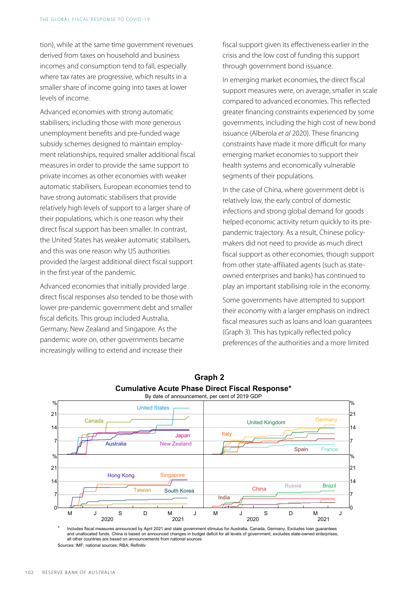tion), while at the same time government revenues derived from taxes on household and business incomes and consumption tend to fall, especially where tax rates are progressive, which results in a smaller share of income going into taxes at lower levels of income.

Advanced economies with strong automatic stabilisers, including those with more generous unemployment benefits and pre-funded wage subsidy schemes designed to maintain employment relationships, required smaller additional fiscal measures in order to provide the same support to private incomes as other economies with weaker automatic stabilisers. European economies tend to have strong automatic stabilisers that provide relatively high levels of support to a larger share of their populations, which is one reason why their direct fiscal support has been smaller. In contrast, the United States has weaker automatic stabilisers, and this was one reason why US authorities provided the largest additional direct fiscal support in the first year of the pandemic.

Advanced economies that initially provided large direct fiscal responses also tended to be those with lower pre-pandemic government debt and smaller fiscal deficits. This group included Australia, Germany, New Zealand and Singapore. As the pandemic wore on, other governments became increasingly willing to extend and increase their

fiscal support given its effectiveness earlier in the crisis and the low cost of funding this support through government bond issuance.

In emerging market economies, the direct fiscal support measures were, on average, smaller in scale compared to advanced economies. This reflected greater financing constraints experienced by some governments, including the high cost of new bond issuance (Alberola *et al* 2020). These financing constraints have made it more difficult for many emerging market economies to support their health systems and economically vulnerable segments of their populations.

In the case of China, where government debt is relatively low, the early control of domestic infections and strong global demand for goods helped economic activity return quickly to its prepandemic trajectory. As a result, Chinese policymakers did not need to provide as much direct fiscal support as other economies, though support from other state-affiliated agents (such as stateowned enterprises and banks) has continued to play an important stabilising role in the economy.

Some governments have attempted to support their economy with a larger emphasis on indirect fiscal measures such as loans and loan guarantees (Graph 3). This has typically reflected policy preferences of the authorities and a more limited



# **Graph 2 Cumulative Acute Phase Direct Fiscal Response\***

Includes fiscal measures announced by April 2021 and state government stimulus for Australia, Canada, Germany, Excludes Ioan guarantees and unallocated funds. China is based on announced changes in budget deficit for all levels of government, excludes state-owned enterprises; all other countries are based on announcements from national sources Sources: IMF; national sources; RBA; Refinitiv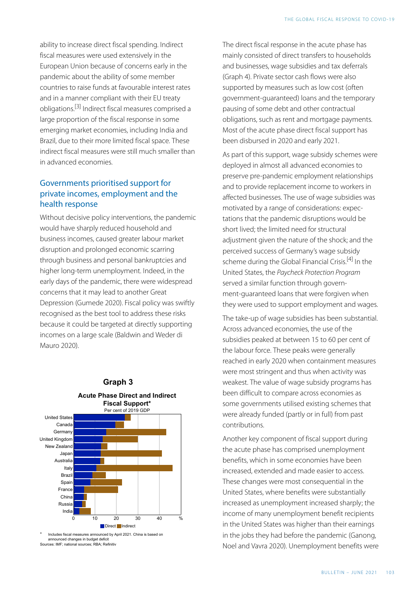<span id="page-3-0"></span>ability to increase direct fiscal spending. Indirect fiscal measures were used extensively in the European Union because of concerns early in the pandemic about the ability of some member countries to raise funds at favourable interest rates and in a manner compliant with their EU treaty obligations. [\[3\]](#page-8-3) Indirect fiscal measures comprised a large proportion of the fiscal response in some emerging market economies, including India and Brazil, due to their more limited fiscal space. These indirect fiscal measures were still much smaller than in advanced economies.

### Governments prioritised support for private incomes, employment and the health response

<span id="page-3-1"></span>Without decisive policy interventions, the pandemic would have sharply reduced household and business incomes, caused greater labour market disruption and prolonged economic scarring through business and personal bankruptcies and higher long-term unemployment. Indeed, in the early days of the pandemic, there were widespread concerns that it may lead to another Great Depression (Gumede 2020). Fiscal policy was swiftly recognised as the best tool to address these risks because it could be targeted at directly supporting incomes on a large scale (Baldwin and Weder di Mauro 2020).

**Graph 3** 



\* Includes fiscal measures announced by April 2021. China is based on announced changes in budget deficit Sources: IMF; national sources; RBA; Refinitiv

The direct fiscal response in the acute phase has mainly consisted of direct transfers to households and businesses, wage subsidies and tax deferrals (Graph 4). Private sector cash flows were also supported by measures such as low cost (often government-guaranteed) loans and the temporary pausing of some debt and other contractual obligations, such as rent and mortgage payments. Most of the acute phase direct fiscal support has been disbursed in 2020 and early 2021.

As part of this support, wage subsidy schemes were deployed in almost all advanced economies to preserve pre-pandemic employment relationships and to provide replacement income to workers in affected businesses. The use of wage subsidies was motivated by a range of considerations: expectations that the pandemic disruptions would be short lived; the limited need for structural adjustment given the nature of the shock; and the perceived success of Germany's wage subsidy scheme during the Global Financial Crisis.<sup>[\[4\]](#page-8-4)</sup> In the United States, the *Paycheck Protection Program*  served a similar function through government-guaranteed loans that were forgiven when they were used to support employment and wages.

The take-up of wage subsidies has been substantial. Across advanced economies, the use of the subsidies peaked at between 15 to 60 per cent of the labour force. These peaks were generally reached in early 2020 when containment measures were most stringent and thus when activity was weakest. The value of wage subsidy programs has been difficult to compare across economies as some governments utilised existing schemes that were already funded (partly or in full) from past contributions.

Another key component of fiscal support during the acute phase has comprised unemployment benefits, which in some economies have been increased, extended and made easier to access. These changes were most consequential in the United States, where benefits were substantially increased as unemployment increased sharply; the income of many unemployment benefit recipients in the United States was higher than their earnings in the jobs they had before the pandemic (Ganong, Noel and Vavra 2020). Unemployment benefits were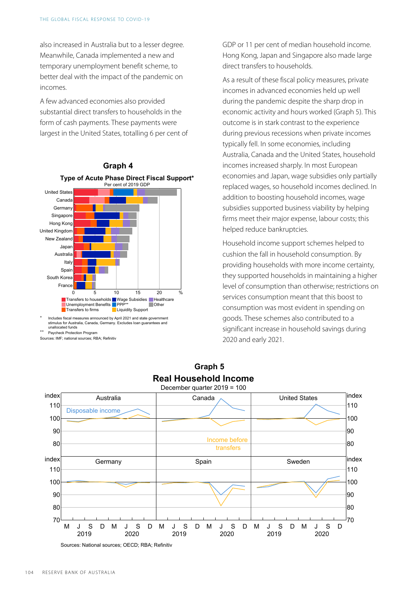also increased in Australia but to a lesser degree. Meanwhile, Canada implemented a new and temporary unemployment benefit scheme, to better deal with the impact of the pandemic on incomes.

A few advanced economies also provided substantial direct transfers to households in the form of cash payments. These payments were largest in the United States, totalling 6 per cent of



\* Includes fiscal measures announced by April 2021 and state government stimulus for Australia, Canada, Germany. Excludes loan guarantees and unallocated funds

Paycheck Protection Program

Sources: IMF; national sources; RBA; Refinitiv

GDP or 11 per cent of median household income. Hong Kong, Japan and Singapore also made large direct transfers to households.

As a result of these fiscal policy measures, private incomes in advanced economies held up well during the pandemic despite the sharp drop in economic activity and hours worked (Graph 5). This outcome is in stark contrast to the experience during previous recessions when private incomes typically fell. In some economies, including Australia, Canada and the United States, household incomes increased sharply. In most European economies and Japan, wage subsidies only partially replaced wages, so household incomes declined. In addition to boosting household incomes, wage subsidies supported business viability by helping firms meet their major expense, labour costs; this helped reduce bankruptcies.

Household income support schemes helped to cushion the fall in household consumption. By providing households with more income certainty, they supported households in maintaining a higher level of consumption than otherwise; restrictions on services consumption meant that this boost to consumption was most evident in spending on goods. These schemes also contributed to a significant increase in household savings during 2020 and early 2021.



**Graph 5 Real Household Income**

Sources: National sources; OECD; RBA; Refinitiv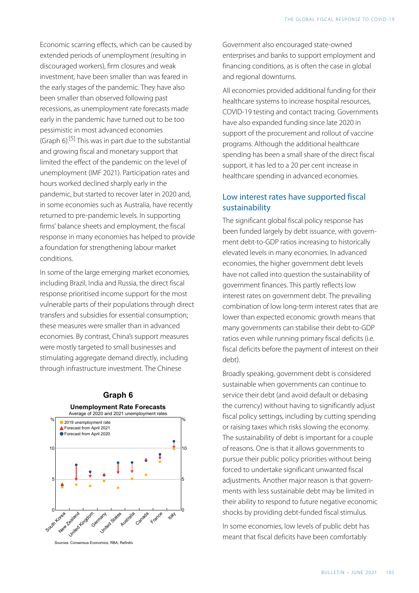<span id="page-5-0"></span>Economic scarring effects, which can be caused by extended periods of unemployment (resulting in discouraged workers), firm closures and weak investment, have been smaller than was feared in the early stages of the pandemic. They have also been smaller than observed following past recessions, as unemployment rate forecasts made early in the pandemic have turned out to be too pessimistic in most advanced economies (Graph 6).<sup>[\[5\]](#page-8-5)</sup> This was in part due to the substantial and growing fiscal and monetary support that limited the effect of the pandemic on the level of unemployment (IMF 2021). Participation rates and hours worked declined sharply early in the pandemic, but started to recover later in 2020 and, in some economies such as Australia, have recently returned to pre-pandemic levels. In supporting firms' balance sheets and employment, the fiscal response in many economies has helped to provide a foundation for strengthening labour market conditions.

In some of the large emerging market economies, including Brazil, India and Russia, the direct fiscal response prioritised income support for the most vulnerable parts of their populations through direct transfers and subsidies for essential consumption; these measures were smaller than in advanced economies. By contrast, China's support measures were mostly targeted to small businesses and stimulating aggregate demand directly, including through infrastructure investment. The Chinese



Government also encouraged state-owned enterprises and banks to support employment and financing conditions, as is often the case in global and regional downturns.

All economies provided additional funding for their healthcare systems to increase hospital resources, COVID-19 testing and contact tracing. Governments have also expanded funding since late 2020 in support of the procurement and rollout of vaccine programs. Although the additional healthcare spending has been a small share of the direct fiscal support, it has led to a 20 per cent increase in healthcare spending in advanced economies.

# Low interest rates have supported fiscal sustainability

The significant global fiscal policy response has been funded largely by debt issuance, with government debt-to-GDP ratios increasing to historically elevated levels in many economies. In advanced economies, the higher government debt levels have not called into question the sustainability of government finances. This partly reflects low interest rates on government debt. The prevailing combination of low long-term interest rates that are lower than expected economic growth means that many governments can stabilise their debt-to-GDP ratios even while running primary fiscal deficits (i.e. fiscal deficits before the payment of interest on their debt).

Broadly speaking, government debt is considered sustainable when governments can continue to service their debt (and avoid default or debasing the currency) without having to significantly adjust fiscal policy settings, including by cutting spending or raising taxes which risks slowing the economy. The sustainability of debt is important for a couple of reasons. One is that it allows governments to pursue their public policy priorities without being forced to undertake significant unwanted fiscal adjustments. Another major reason is that governments with less sustainable debt may be limited in their ability to respond to future negative economic shocks by providing debt-funded fiscal stimulus.

In some economies, low levels of public debt has meant that fiscal deficits have been comfortably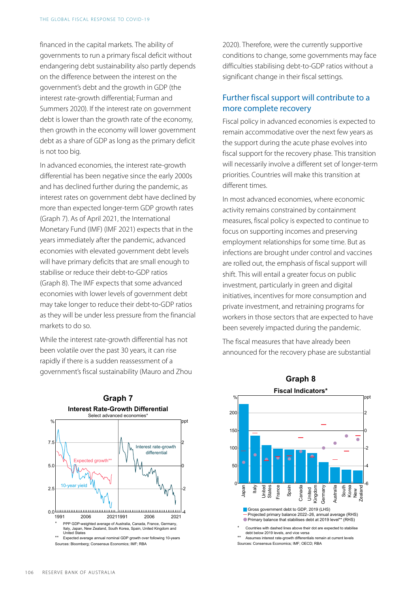financed in the capital markets. The ability of governments to run a primary fiscal deficit without endangering debt sustainability also partly depends on the difference between the interest on the government's debt and the growth in GDP (the interest rate-growth differential; Furman and Summers 2020). If the interest rate on government debt is lower than the growth rate of the economy, then growth in the economy will lower government debt as a share of GDP as long as the primary deficit is not too big.

In advanced economies, the interest rate-growth differential has been negative since the early 2000s and has declined further during the pandemic, as interest rates on government debt have declined by more than expected longer-term GDP growth rates (Graph 7). As of April 2021, the International Monetary Fund (IMF) (IMF 2021) expects that in the years immediately after the pandemic, advanced economies with elevated government debt levels will have primary deficits that are small enough to stabilise or reduce their debt-to-GDP ratios (Graph 8). The IMF expects that some advanced economies with lower levels of government debt may take longer to reduce their debt-to-GDP ratios as they will be under less pressure from the financial markets to do so.

While the interest rate-growth differential has not been volatile over the past 30 years, it can rise rapidly if there is a sudden reassessment of a government's fiscal sustainability (Mauro and Zhou



2020). Therefore, were the currently supportive conditions to change, some governments may face difficulties stabilising debt-to-GDP ratios without a significant change in their fiscal settings.

#### Further fiscal support will contribute to a more complete recovery

Fiscal policy in advanced economies is expected to remain accommodative over the next few years as the support during the acute phase evolves into fiscal support for the recovery phase. This transition will necessarily involve a different set of longer-term priorities. Countries will make this transition at different times.

In most advanced economies, where economic activity remains constrained by containment measures, fiscal policy is expected to continue to focus on supporting incomes and preserving employment relationships for some time. But as infections are brought under control and vaccines are rolled out, the emphasis of fiscal support will shift. This will entail a greater focus on public investment, particularly in green and digital initiatives, incentives for more consumption and private investment, and retraining programs for workers in those sectors that are expected to have been severely impacted during the pandemic.

The fiscal measures that have already been announced for the recovery phase are substantial

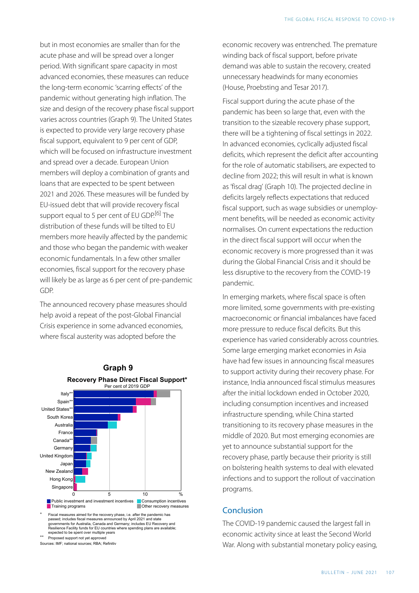but in most economies are smaller than for the acute phase and will be spread over a longer period. With significant spare capacity in most advanced economies, these measures can reduce the long-term economic 'scarring effects' of the pandemic without generating high inflation. The size and design of the recovery phase fiscal support varies across countries (Graph 9). The United States is expected to provide very large recovery phase fiscal support, equivalent to 9 per cent of GDP, which will be focused on infrastructure investment and spread over a decade. European Union members will deploy a combination of grants and loans that are expected to be spent between 2021 and 2026. These measures will be funded by EU-issued debt that will provide recovery fiscal support equal to 5 per cent of EU GDP.<sup>[\[6\]](#page-8-6)</sup> The distribution of these funds will be tilted to EU members more heavily affected by the pandemic and those who began the pandemic with weaker economic fundamentals. In a few other smaller economies, fiscal support for the recovery phase will likely be as large as 6 per cent of pre-pandemic GDP.

<span id="page-7-0"></span>The announced recovery phase measures should help avoid a repeat of the post-Global Financial Crisis experience in some advanced economies, where fiscal austerity was adopted before the



Sources: IMF; national sources; RBA; Refinitiv

economic recovery was entrenched. The premature winding back of fiscal support, before private demand was able to sustain the recovery, created unnecessary headwinds for many economies (House, Proebsting and Tesar 2017).

Fiscal support during the acute phase of the pandemic has been so large that, even with the transition to the sizeable recovery phase support, there will be a tightening of fiscal settings in 2022. In advanced economies, cyclically adjusted fiscal deficits, which represent the deficit after accounting for the role of automatic stabilisers, are expected to decline from 2022; this will result in what is known as 'fiscal drag' (Graph 10). The projected decline in deficits largely reflects expectations that reduced fiscal support, such as wage subsidies or unemployment benefits, will be needed as economic activity normalises. On current expectations the reduction in the direct fiscal support will occur when the economic recovery is more progressed than it was during the Global Financial Crisis and it should be less disruptive to the recovery from the COVID-19 pandemic.

In emerging markets, where fiscal space is often more limited, some governments with pre-existing macroeconomic or financial imbalances have faced more pressure to reduce fiscal deficits. But this experience has varied considerably across countries. Some large emerging market economies in Asia have had few issues in announcing fiscal measures to support activity during their recovery phase. For instance, India announced fiscal stimulus measures after the initial lockdown ended in October 2020, including consumption incentives and increased infrastructure spending, while China started transitioning to its recovery phase measures in the middle of 2020. But most emerging economies are yet to announce substantial support for the recovery phase, partly because their priority is still on bolstering health systems to deal with elevated infections and to support the rollout of vaccination programs.

#### Conclusion

The COVID-19 pandemic caused the largest fall in economic activity since at least the Second World War. Along with substantial monetary policy easing,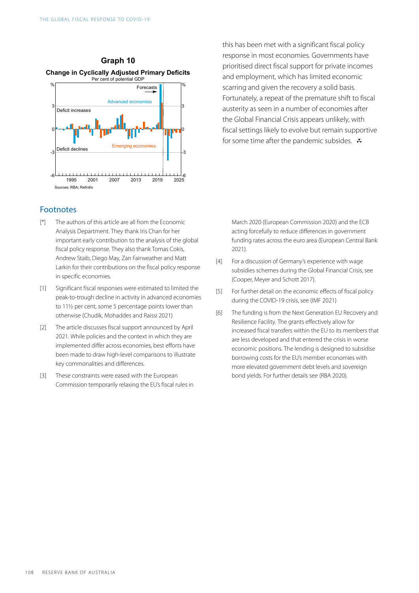

#### **Footnotes**

- <span id="page-8-0"></span>The authors of this article are all from the Economic Analysis Department. They thank Iris Chan for her important early contribution to the analysis of the global fiscal policy response. They also thank Tomas Cokis, Andrew Staib, Diego May, Zan Fairweather and Matt Larkin for their contributions on the fiscal policy response in specific economies. [\[\\*\]](#page-0-0)
- <span id="page-8-5"></span><span id="page-8-4"></span><span id="page-8-1"></span>Significant fiscal responses were estimated to limited the peak-to-trough decline in activity in advanced economies to 11½ per cent, some 5 percentage points lower than otherwise (Chudik, Mohaddes and Raissi 2021)  $[1]$
- <span id="page-8-6"></span><span id="page-8-2"></span>The article discusses fiscal support announced by April 2021. While policies and the context in which they are implemented differ across economies, best efforts have been made to draw high-level comparisons to illustrate key commonalities and differences.  $[2]$
- <span id="page-8-3"></span>These constraints were eased with the European Commission temporarily relaxing the EU's fiscal rules in [\[3\]](#page-3-0)

this has been met with a significant fiscal policy response in most economies. Governments have prioritised direct fiscal support for private incomes and employment, which has limited economic scarring and given the recovery a solid basis. Fortunately, a repeat of the premature shift to fiscal austerity as seen in a number of economies after the Global Financial Crisis appears unlikely, with fiscal settings likely to evolve but remain supportive for some time after the pandemic subsides.  $\mathbf{\ddot{v}}$ 

March 2020 (European Commission 2020) and the ECB acting forcefully to reduce differences in government funding rates across the euro area (European Central Bank 2021).

- For a discussion of Germany's experience with wage subsidies schemes during the Global Financial Crisis, see (Cooper, Meyer and Schott 2017).  $[4]$
- For further detail on the economic effects of fiscal policy during the COVID-19 crisis, see (IMF 2021) [\[5\]](#page-5-0)
- The funding is from the Next Generation EU Recovery and Resilience Facility. The grants effectively allow for increased fiscal transfers within the EU to its members that are less developed and that entered the crisis in worse economic positions. The lending is designed to subsidise borrowing costs for the EU's member economies with more elevated government debt levels and sovereign bond yields. For further details see (RBA 2020). [\[6\]](#page-7-0)